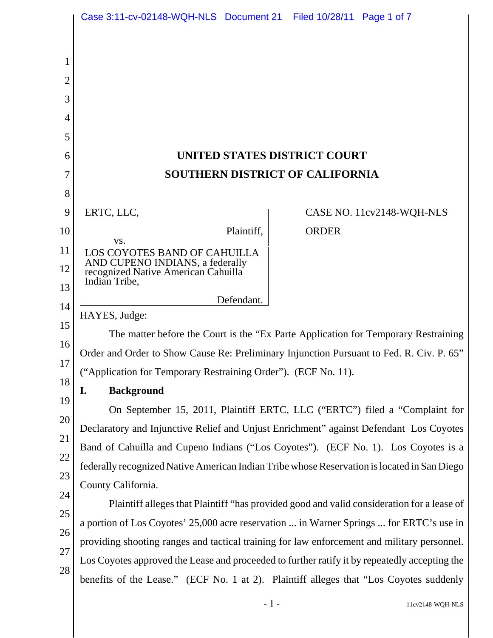|          | Case 3:11-cv-02148-WQH-NLS  Document 21  Filed 10/28/11  Page 1 of 7                                                                                                                                          |                                                                                               |  |
|----------|---------------------------------------------------------------------------------------------------------------------------------------------------------------------------------------------------------------|-----------------------------------------------------------------------------------------------|--|
|          |                                                                                                                                                                                                               |                                                                                               |  |
|          |                                                                                                                                                                                                               |                                                                                               |  |
| 2        |                                                                                                                                                                                                               |                                                                                               |  |
| 3        |                                                                                                                                                                                                               |                                                                                               |  |
| 4        |                                                                                                                                                                                                               |                                                                                               |  |
| 5        |                                                                                                                                                                                                               |                                                                                               |  |
| 6        | UNITED STATES DISTRICT COURT                                                                                                                                                                                  |                                                                                               |  |
|          | <b>SOUTHERN DISTRICT OF CALIFORNIA</b>                                                                                                                                                                        |                                                                                               |  |
| 8        |                                                                                                                                                                                                               |                                                                                               |  |
| 9        | ERTC, LLC,                                                                                                                                                                                                    | CASE NO. 11cv2148-WQH-NLS                                                                     |  |
| 10       | Plaintiff,                                                                                                                                                                                                    | <b>ORDER</b>                                                                                  |  |
| 11       | VS.<br>LOS COYOTES BAND OF CAHUILLA                                                                                                                                                                           |                                                                                               |  |
| 12       | AND CUPENO INDIANS, a federally<br>recognized Native American Cahuilla                                                                                                                                        |                                                                                               |  |
| 13       | Indian Tribe,                                                                                                                                                                                                 |                                                                                               |  |
| 14       | Defendant.<br>HAYES, Judge:<br>The matter before the Court is the "Ex Parte Application for Temporary Restraining<br>Order and Order to Show Cause Re: Preliminary Injunction Pursuant to Fed. R. Civ. P. 65" |                                                                                               |  |
| 15       |                                                                                                                                                                                                               |                                                                                               |  |
| 16       |                                                                                                                                                                                                               |                                                                                               |  |
| 17       | ("Application for Temporary Restraining Order"). (ECF No. 11).                                                                                                                                                |                                                                                               |  |
| 18       | <b>Background</b><br>I.                                                                                                                                                                                       |                                                                                               |  |
| 19       | On September 15, 2011, Plaintiff ERTC, LLC ("ERTC") filed a "Complaint for                                                                                                                                    |                                                                                               |  |
| 20       | Declaratory and Injunctive Relief and Unjust Enrichment" against Defendant Los Coyotes                                                                                                                        |                                                                                               |  |
| 21       | Band of Cahuilla and Cupeno Indians ("Los Coyotes"). (ECF No. 1). Los Coyotes is a                                                                                                                            |                                                                                               |  |
| 22       | federally recognized Native American Indian Tribe whose Reservation is located in San Diego                                                                                                                   |                                                                                               |  |
| 23<br>24 | County California.                                                                                                                                                                                            |                                                                                               |  |
| 25       | Plaintiff alleges that Plaintiff "has provided good and valid consideration for a lease of                                                                                                                    |                                                                                               |  |
| 26       | a portion of Los Coyotes' 25,000 acre reservation  in Warner Springs  for ERTC's use in<br>providing shooting ranges and tactical training for law enforcement and military personnel.                        |                                                                                               |  |
| 27       |                                                                                                                                                                                                               |                                                                                               |  |
| 28       |                                                                                                                                                                                                               | Los Coyotes approved the Lease and proceeded to further ratify it by repeatedly accepting the |  |
|          |                                                                                                                                                                                                               | benefits of the Lease." (ECF No. 1 at 2). Plaintiff alleges that "Los Coyotes suddenly        |  |
|          |                                                                                                                                                                                                               |                                                                                               |  |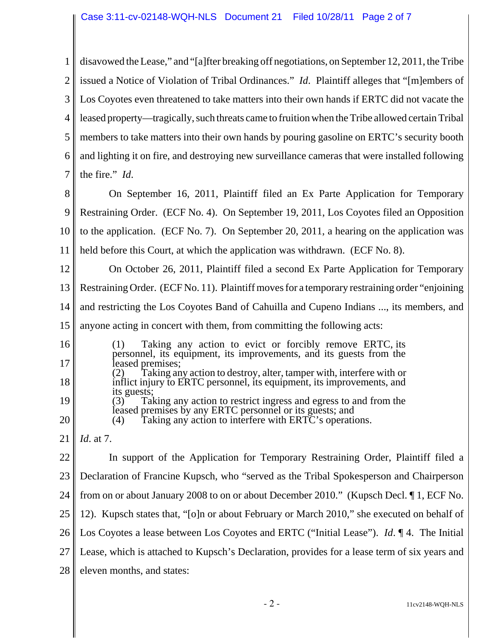1 2 3 4 5 6 7 disavowed the Lease," and "[a]fter breaking off negotiations, on September 12, 2011, the Tribe issued a Notice of Violation of Tribal Ordinances." *Id*. Plaintiff alleges that "[m]embers of Los Coyotes even threatened to take matters into their own hands if ERTC did not vacate the leased property—tragically, such threats came to fruition when the Tribe allowed certain Tribal members to take matters into their own hands by pouring gasoline on ERTC's security booth and lighting it on fire, and destroying new surveillance cameras that were installed following the fire." *Id*.

8 9 10 11 On September 16, 2011, Plaintiff filed an Ex Parte Application for Temporary Restraining Order. (ECF No. 4). On September 19, 2011, Los Coyotes filed an Opposition to the application. (ECF No. 7). On September 20, 2011, a hearing on the application was held before this Court, at which the application was withdrawn. (ECF No. 8).

12 13 14 15 16 17 18 19 20 21 22 23 24 25 26 On October 26, 2011, Plaintiff filed a second Ex Parte Application for Temporary Restraining Order. (ECF No. 11). Plaintiff moves for a temporary restraining order "enjoining and restricting the Los Coyotes Band of Cahuilla and Cupeno Indians ..., its members, and anyone acting in concert with them, from committing the following acts: (1) Taking any action to evict or forcibly remove ERTC, its personnel, its equipment, its improvements, and its guests from the leased premises; Taking any action to destroy, alter, tamper with, interfere with or inflict injury to ERTC personnel, its equipment, its improvements, and its guests;<br>(3) Tal Taking any action to restrict ingress and egress to and from the leased premises by any ERTC personnel or its guests; and (4) Taking any action to interfere with ERTC's operation Taking any action to interfere with ERTC's operations. *Id*. at 7. In support of the Application for Temporary Restraining Order, Plaintiff filed a Declaration of Francine Kupsch, who "served as the Tribal Spokesperson and Chairperson from on or about January 2008 to on or about December 2010." (Kupsch Decl. ¶ 1, ECF No. 12). Kupsch states that, "[o]n or about February or March 2010," she executed on behalf of Los Coyotes a lease between Los Coyotes and ERTC ("Initial Lease"). *Id*. ¶ 4. The Initial

27 Lease, which is attached to Kupsch's Declaration, provides for a lease term of six years and

28 eleven months, and states: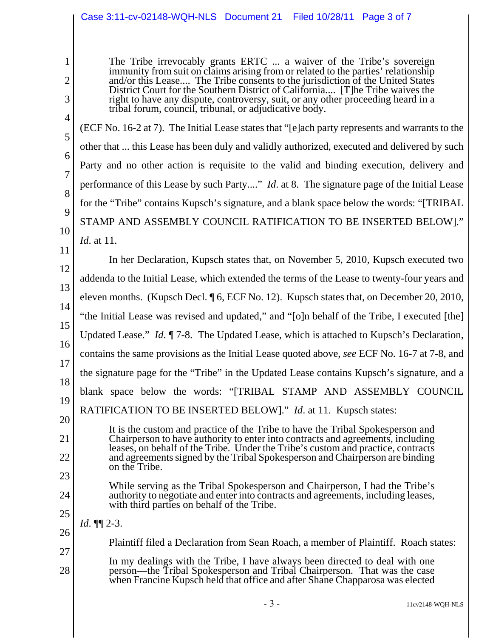## Case 3:11-cv-02148-WQH-NLS Document 21 Filed 10/28/11 Page 3 of 7

The Tribe irrevocably grants ERTC ... a waiver of the Tribe's sovereign immunity from suit on claims arising from or related to the parties' relationship and/or this Lease.... The Tribe consents to the jurisdiction of the United States District Court for the Southern District of California.... [T]he Tribe waives the right to have any dispute, controversy, suit, or any other proceeding heard in a tribal forum, council, tribunal, or adjudicative body.

(ECF No. 16-2 at 7). The Initial Lease states that "[e]ach party represents and warrants to the other that ... this Lease has been duly and validly authorized, executed and delivered by such Party and no other action is requisite to the valid and binding execution, delivery and performance of this Lease by such Party...." *Id*. at 8. The signature page of the Initial Lease for the "Tribe" contains Kupsch's signature, and a blank space below the words: "[TRIBAL STAMP AND ASSEMBLY COUNCIL RATIFICATION TO BE INSERTED BELOW]." *Id*. at 11.

11 12 13 14 15 16 17 18 19 In her Declaration, Kupsch states that, on November 5, 2010, Kupsch executed two addenda to the Initial Lease, which extended the terms of the Lease to twenty-four years and eleven months. (Kupsch Decl. ¶ 6, ECF No. 12). Kupsch states that, on December 20, 2010, "the Initial Lease was revised and updated," and "[o]n behalf of the Tribe, I executed [the] Updated Lease." *Id*. ¶ 7-8. The Updated Lease, which is attached to Kupsch's Declaration, contains the same provisions as the Initial Lease quoted above, *see* ECF No. 16-7 at 7-8, and the signature page for the "Tribe" in the Updated Lease contains Kupsch's signature, and a blank space below the words: "[TRIBAL STAMP AND ASSEMBLY COUNCIL RATIFICATION TO BE INSERTED BELOW]." *Id*. at 11. Kupsch states:

- It is the custom and practice of the Tribe to have the Tribal Spokesperson and Chairperson to have authority to enter into contracts and agreements, including leases, on behalf of the Tribe. Under the Tribe's custom and practice, contracts and agreements signed by the Tribal Spokesperson and Chairperson are binding on the Tribe.
- While serving as the Tribal Spokesperson and Chairperson, I had the Tribe's authority to negotiate and enter into contracts and agreements, including leases, with third parties on behalf of the Tribe.
- 25 26 *Id*. ¶¶ 2-3.

1

2

3

4

5

6

7

8

9

10

20

21

22

23

24

- Plaintiff filed a Declaration from Sean Roach, a member of Plaintiff. Roach states:
- 27 28 In my dealings with the Tribe, I have always been directed to deal with one person—the Tribal Spokesperson and Tribal Chairperson. That was the case when Francine Kupsch held that office and after Shane Chapparosa was elected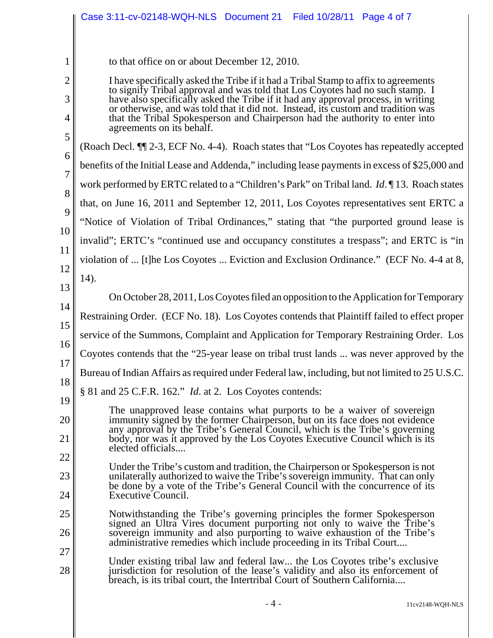|        | Case 3:11-cv-02148-WQH-NLS Document 21 Filed 10/28/11 Page 4 of 7                                                                                                                                                                                       |  |  |
|--------|---------------------------------------------------------------------------------------------------------------------------------------------------------------------------------------------------------------------------------------------------------|--|--|
|        |                                                                                                                                                                                                                                                         |  |  |
| 1      | to that office on or about December 12, 2010.                                                                                                                                                                                                           |  |  |
| 2      | I have specifically asked the Tribe if it had a Tribal Stamp to affix to agreements                                                                                                                                                                     |  |  |
| 3      | to signify Tribal approval and was told that Los Coyotes had no such stamp. I<br>have also specifically asked the Tribe if it had any approval process, in writing<br>or otherwise, and was told that it did not. Instead, its custom and tradition was |  |  |
| 4      | that the Tribal Spokesperson and Chairperson had the authority to enter into<br>agreements on its behalf.                                                                                                                                               |  |  |
| 5      | (Roach Decl. T 2-3, ECF No. 4-4). Roach states that "Los Coyotes has repeatedly accepted                                                                                                                                                                |  |  |
| 6<br>7 | benefits of the Initial Lease and Addenda," including lease payments in excess of \$25,000 and                                                                                                                                                          |  |  |
| 8      | work performed by ERTC related to a "Children's Park" on Tribal land. <i>Id.</i> 13. Roach states                                                                                                                                                       |  |  |
| 9      | that, on June 16, 2011 and September 12, 2011, Los Coyotes representatives sent ERTC a                                                                                                                                                                  |  |  |
| 10     | "Notice of Violation of Tribal Ordinances," stating that "the purported ground lease is<br>invalid"; ERTC's "continued use and occupancy constitutes a trespass"; and ERTC is "in                                                                       |  |  |
| 11     |                                                                                                                                                                                                                                                         |  |  |
| 12     | violation of  [t]he Los Coyotes  Eviction and Exclusion Ordinance." (ECF No. 4-4 at 8,                                                                                                                                                                  |  |  |
| 13     | 14).                                                                                                                                                                                                                                                    |  |  |
| 14     | On October 28, 2011, Los Coyotes filed an opposition to the Application for Temporary                                                                                                                                                                   |  |  |
| 15     | Restraining Order. (ECF No. 18). Los Coyotes contends that Plaintiff failed to effect proper                                                                                                                                                            |  |  |
| 16     | service of the Summons, Complaint and Application for Temporary Restraining Order. Los                                                                                                                                                                  |  |  |
| 17     | Coyotes contends that the "25-year lease on tribal trust lands  was never approved by the                                                                                                                                                               |  |  |
| 18     | Bureau of Indian Affairs as required under Federal law, including, but not limited to 25 U.S.C.                                                                                                                                                         |  |  |
| 19     | $\S 81$ and 25 C.F.R. 162." <i>Id.</i> at 2. Los Coyotes contends:                                                                                                                                                                                      |  |  |
| 20     | The unapproved lease contains what purports to be a waiver of sovereign<br>immunity signed by the former Chairperson, but on its face does not evidence                                                                                                 |  |  |
| 21     | any approval by the Tribe's General Council, which is the Tribe's governing<br>body, nor was it approved by the Los Coyotes Executive Council which is its                                                                                              |  |  |
| 22     | elected officials                                                                                                                                                                                                                                       |  |  |
| 23     | Under the Tribe's custom and tradition, the Chairperson or Spokesperson is not<br>unilaterally authorized to waive the Tribe's sovereign immunity. That can only                                                                                        |  |  |
| 24     | be done by a vote of the Tribe's General Council with the concurrence of its<br>Executive Council.                                                                                                                                                      |  |  |
| 25     | Notwithstanding the Tribe's governing principles the former Spokesperson                                                                                                                                                                                |  |  |
| 26     | signed an Ultra Vires document purporting not only to waive the Tribe's<br>sovereign immunity and also purporting to waive exhaustion of the Tribe's                                                                                                    |  |  |
| 27     | administrative remedies which include proceeding in its Tribal Court                                                                                                                                                                                    |  |  |
| 28     | Under existing tribal law and federal law the Los Coyotes tribe's exclusive<br>jurisdiction for resolution of the lease's validity and also its enforcement of<br>breach, is its tribal court, the Intertribal Court of Southern California             |  |  |
|        | - 4 -<br>11cv2148-WQH-NLS                                                                                                                                                                                                                               |  |  |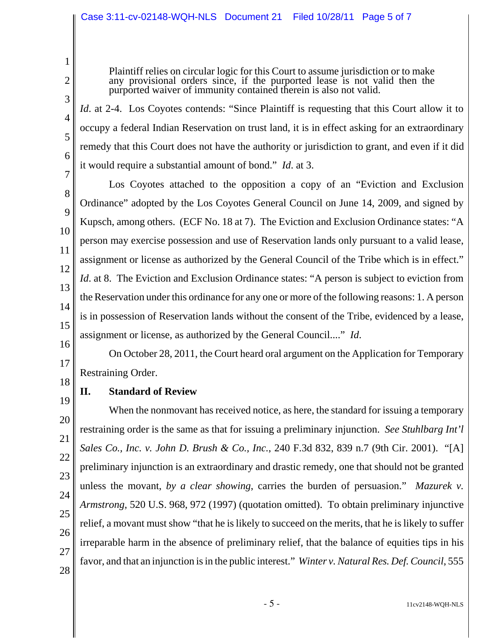Plaintiff relies on circular logic for this Court to assume jurisdiction or to make any provisional orders since, if the purported lease is not valid then the purported waiver of immunity contained therein is also not valid.

*Id.* at 2-4. Los Coyotes contends: "Since Plaintiff is requesting that this Court allow it to occupy a federal Indian Reservation on trust land, it is in effect asking for an extraordinary remedy that this Court does not have the authority or jurisdiction to grant, and even if it did it would require a substantial amount of bond." *Id*. at 3.

Los Coyotes attached to the opposition a copy of an "Eviction and Exclusion Ordinance" adopted by the Los Coyotes General Council on June 14, 2009, and signed by Kupsch, among others. (ECF No. 18 at 7). The Eviction and Exclusion Ordinance states: "A person may exercise possession and use of Reservation lands only pursuant to a valid lease, assignment or license as authorized by the General Council of the Tribe which is in effect." *Id.* at 8. The Eviction and Exclusion Ordinance states: "A person is subject to eviction from the Reservation under this ordinance for any one or more of the following reasons: 1. A person is in possession of Reservation lands without the consent of the Tribe, evidenced by a lease, assignment or license, as authorized by the General Council...." *Id*.

16 18 On October 28, 2011, the Court heard oral argument on the Application for Temporary Restraining Order.

19 **II. Standard of Review**

1

2

3

4

5

6

7

8

9

10

11

12

13

14

15

17

20 21 22 23 24 25 26 27 28 When the nonmovant has received notice, as here, the standard for issuing a temporary restraining order is the same as that for issuing a preliminary injunction. *See Stuhlbarg Int'l Sales Co., Inc. v. John D. Brush & Co., Inc.*, 240 F.3d 832, 839 n.7 (9th Cir. 2001). "[A] preliminary injunction is an extraordinary and drastic remedy, one that should not be granted unless the movant, *by a clear showing*, carries the burden of persuasion." *Mazurek v. Armstrong*, 520 U.S. 968, 972 (1997) (quotation omitted). To obtain preliminary injunctive relief, a movant must show "that he is likely to succeed on the merits, that he is likely to suffer irreparable harm in the absence of preliminary relief, that the balance of equities tips in his favor, and that an injunction is in the public interest." *Winter v. Natural Res. Def. Council*, 555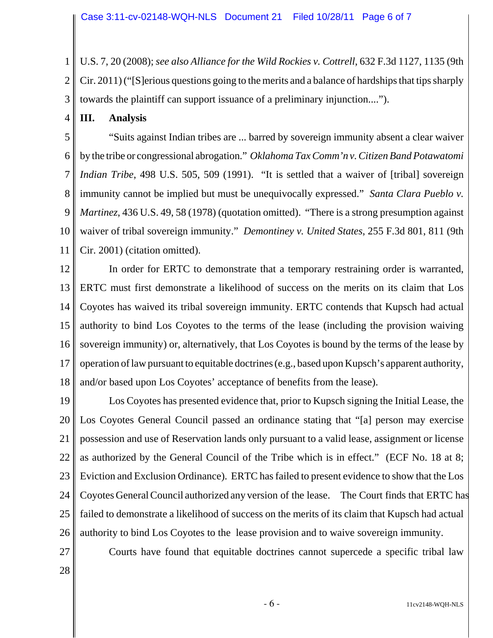1 2 3 U.S. 7, 20 (2008); *see also Alliance for the Wild Rockies v. Cottrell*, 632 F.3d 1127, 1135 (9th Cir. 2011) ("[S]erious questions going to the merits and a balance of hardships that tips sharply towards the plaintiff can support issuance of a preliminary injunction....").

4 **III. Analysis**

5 6 7 8 9 10 11 "Suits against Indian tribes are ... barred by sovereign immunity absent a clear waiver by the tribe or congressional abrogation." *Oklahoma Tax Comm'n v. Citizen Band Potawatomi Indian Tribe*, 498 U.S. 505, 509 (1991). "It is settled that a waiver of [tribal] sovereign immunity cannot be implied but must be unequivocally expressed." *Santa Clara Pueblo v. Martinez*, 436 U.S. 49, 58 (1978) (quotation omitted). "There is a strong presumption against waiver of tribal sovereign immunity." *Demontiney v. United States*, 255 F.3d 801, 811 (9th Cir. 2001) (citation omitted).

12 13 14 15 16 17 18 In order for ERTC to demonstrate that a temporary restraining order is warranted, ERTC must first demonstrate a likelihood of success on the merits on its claim that Los Coyotes has waived its tribal sovereign immunity. ERTC contends that Kupsch had actual authority to bind Los Coyotes to the terms of the lease (including the provision waiving sovereign immunity) or, alternatively, that Los Coyotes is bound by the terms of the lease by operation of law pursuant to equitable doctrines (e.g., based upon Kupsch's apparent authority, and/or based upon Los Coyotes' acceptance of benefits from the lease).

19 20 21 22 23 24 25 26 Los Coyotes has presented evidence that, prior to Kupsch signing the Initial Lease, the Los Coyotes General Council passed an ordinance stating that "[a] person may exercise possession and use of Reservation lands only pursuant to a valid lease, assignment or license as authorized by the General Council of the Tribe which is in effect." (ECF No. 18 at 8; Eviction and Exclusion Ordinance). ERTC has failed to present evidence to show that the Los Coyotes General Council authorized any version of the lease. The Court finds that ERTC has failed to demonstrate a likelihood of success on the merits of its claim that Kupsch had actual authority to bind Los Coyotes to the lease provision and to waive sovereign immunity.

27

Courts have found that equitable doctrines cannot supercede a specific tribal law

28